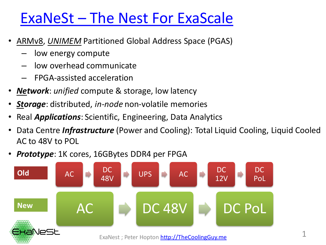## ExaNeSt – The Nest For ExaScale

- ARMv8, *UNIMEM* Partitioned Global Address Space (PGAS)
	- low energy compute
	- low overhead communicate
	- FPGA-assisted acceleration
- *Network*: *unified* compute & storage, low latency
- *Storage*: distributed, *in-node* non-volatile memories
- Real *Applications*: Scientific, Engineering, Data Analytics
- Data Centre *Infrastructure* (Power and Cooling): Total Liquid Cooling, Liquid Cooled AC to 48V to POL
- *Prototype*: 1K cores, 16GBytes DDR4 per FPGA